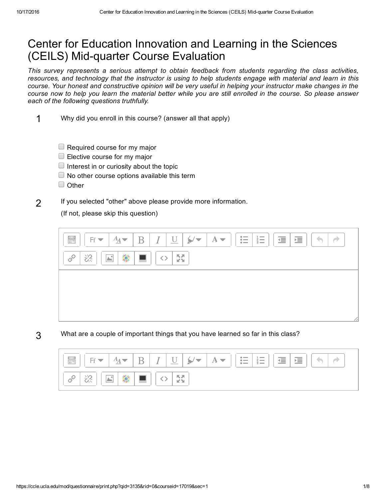## Center for Education Innovation and Learning in the Sciences (CEILS) Mid-quarter Course Evaluation

*This survey represents a serious attempt to obtain feedback from students regarding the class activities,* resources, and technology that the instructor is using to help students engage with material and learn in this course. Your honest and constructive opinion will be very useful in helping your instructor make changes in the course now to help you learn the material better while you are still enrolled in the course. So please answer *each of the following questions truthfully.*

- 1 Why did you enroll in this course? (answer all that apply)
	- $\Box$  Required course for my major
	- $\Box$  Elective course for my major
	- $\Box$  Interest in or curiosity about the topic
	- $\Box$  No other course options available this term
	- Other
- 2 If you selected "other" above please provide more information.

(If not, please skip this question)



3 What are a couple of important things that you have learned so far in this class?

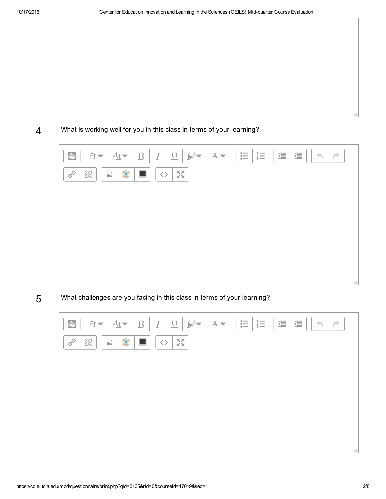4 What is working well for you in this class in terms of your learning?



5 What challenges are you facing in this class in terms of your learning?

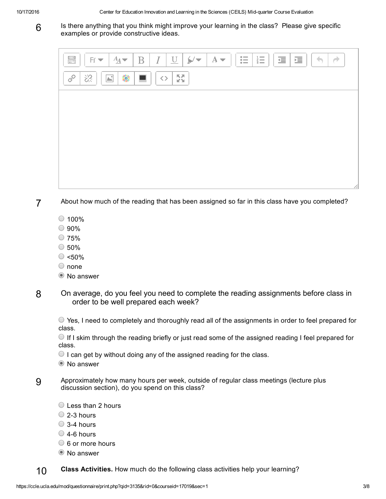6

Is there anything that you think might improve your learning in the class? Please give specific examples or provide constructive ideas.

| $\leftrightarrow$<br>$\bullet$<br>$1 -$<br>$\begin{array}{ c c } \hline \textbf{0.000} \\ \hline \textbf{0.000} \\ \hline \textbf{0.000} \\ \hline \textbf{0.000} \\ \hline \textbf{0.000} \\ \hline \textbf{0.000} \\ \hline \textbf{0.000} \\ \hline \textbf{0.000} \\ \hline \textbf{0.000} \\ \hline \textbf{0.000} \\ \hline \textbf{0.000} \\ \hline \textbf{0.000} \\ \hline \textbf{0.000} \\ \hline \textbf{0.000} \\ \hline \textbf{0.000}$<br>彊<br>$A_{\underline{A}}$<br>$\cal I$<br>$\underline{\mathrm{U}}$<br>$A \blacktriangleright$<br>這<br>$\overline{\mathrm{B}}$<br>$Ff =$<br>÷<br>╭<br>三<br>$\bullet$<br>$\bullet$ - |   |
|-------------------------------------------------------------------------------------------------------------------------------------------------------------------------------------------------------------------------------------------------------------------------------------------------------------------------------------------------------------------------------------------------------------------------------------------------------------------------------------------------------------------------------------------------------------------------------------------------------------------------------------------|---|
| $\frac{K}{2}$<br>恣<br>繠<br>$\mathscr{E}$<br>$\boxed{\color{blue}\blacktriangle^{\color{blue}\blacktriangle^{\color{blue}\blacktriangle}}}$<br>$\langle \rangle$                                                                                                                                                                                                                                                                                                                                                                                                                                                                           |   |
|                                                                                                                                                                                                                                                                                                                                                                                                                                                                                                                                                                                                                                           |   |
|                                                                                                                                                                                                                                                                                                                                                                                                                                                                                                                                                                                                                                           |   |
|                                                                                                                                                                                                                                                                                                                                                                                                                                                                                                                                                                                                                                           |   |
|                                                                                                                                                                                                                                                                                                                                                                                                                                                                                                                                                                                                                                           |   |
|                                                                                                                                                                                                                                                                                                                                                                                                                                                                                                                                                                                                                                           | h |

- 7 About how much of the reading that has been assigned so far in this class have you completed?
	- $\circ$  100%
	- $\bigcirc$  90%
	- $\bigcirc$  75%
	- $\circ$  50%
	- $\circ$  <50%
	- $\bigcirc$  none
	- <sup>O</sup> No answer
- 8 On average, do you feel you need to complete the reading assignments before class in order to be well prepared each week?

 $\circ$  Yes, I need to completely and thoroughly read all of the assignments in order to feel prepared for class.

 $\bigcirc$  If I skim through the reading briefly or just read some of the assigned reading I feel prepared for class.

- $\bigcirc$  I can get by without doing any of the assigned reading for the class.
- <sup>O</sup> No answer
- 9 Approximately how many hours per week, outside of regular class meetings (lecture plus discussion section), do you spend on this class?
	- Less than 2 hours
	- $\bigcirc$  2-3 hours
	- $\bigcirc$  3-4 hours
	- $\bigcirc$  4-6 hours
	- $\circ$  6 or more hours
	- No answer

10 Class Activities. How much do the following class activities help your learning?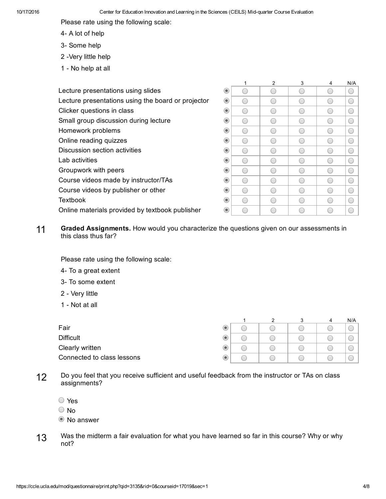Please rate using the following scale:

- 4- A lot of help
- 3- Some help
- 2 Very little help
- 1 No help at all

|                                                    |                             |              | 2                        | 3    | 4                        | N/A                                           |
|----------------------------------------------------|-----------------------------|--------------|--------------------------|------|--------------------------|-----------------------------------------------|
| Lecture presentations using slides                 | $\circledcirc$              |              | e e                      |      |                          | $\left( \begin{array}{c} \end{array} \right)$ |
| Lecture presentations using the board or projector | $\circledcirc$              | C .          | 0                        | C    | O                        | $\bigcirc$                                    |
| Clicker questions in class                         | $_{\textstyle\copyright}$   | <sub>(</sub> | C                        | ( –  | C                        | $\overline{(\phantom{a})}$                    |
| Small group discussion during lecture              | $_{\textstyle\odot}$        | C .          |                          |      | r i                      | $\overline{(\phantom{a})}$                    |
| Homework problems                                  | $\circledcirc$              | C .          |                          |      | e i                      | ◯                                             |
| Online reading quizzes                             | $\circledcirc$              | C            | $\overline{\phantom{a}}$ | C –  | O                        | $\left( \begin{array}{c} \end{array} \right)$ |
| Discussion section activities                      | $\circledcirc$              |              | C                        |      | e e                      | ◯                                             |
| Lab activities                                     | $\textcolor{blue}{\bullet}$ |              | r 11                     | e en | C.                       | $\left( \begin{array}{c} \end{array} \right)$ |
| Groupwork with peers                               | $_{\textstyle\odot}$        | С            | 0                        | C    | $\overline{\phantom{0}}$ | ⊂                                             |
| Course videos made by instructor/TAs               | $_{\textstyle\odot}$        | <sub>(</sub> | C                        | r 11 | C)                       | $\overline{C}$                                |
| Course videos by publisher or other                | $\textcolor{blue}{\bullet}$ |              |                          |      | C                        | ⊂                                             |
| <b>Textbook</b>                                    | $\circledcirc$              |              |                          |      |                          | ⊂                                             |
| Online materials provided by textbook publisher    | $_{\textstyle\odot}$        |              | C                        | c    | r e                      |                                               |
|                                                    |                             |              |                          |      |                          |                                               |

11 Graded Assignments. How would you characterize the questions given on our assessments in this class thus far?

Please rate using the following scale:

- 4- To a great extent
- 3- To some extent
- 2 Very little
- 1 Not at all

|                            |  |  | 4 | N/A |
|----------------------------|--|--|---|-----|
| Fair                       |  |  |   |     |
| <b>Difficult</b>           |  |  |   |     |
| Clearly written            |  |  |   |     |
| Connected to class lessons |  |  |   |     |

- 12 Do you feel that you receive sufficient and useful feedback from the instructor or TAs on class assignments?
	- Yes
	- No

<sup>O</sup> No answer

13 Was the midterm a fair evaluation for what you have learned so far in this course? Why or why not?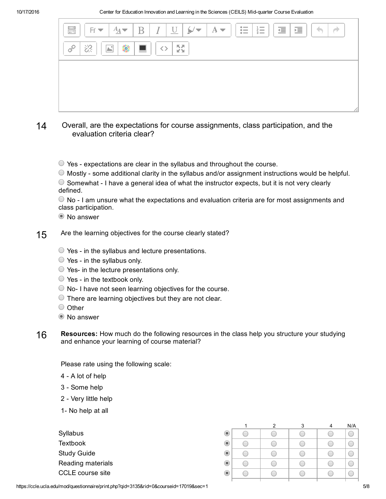| $\begin{array}{ c } \hline \textbf{0.010} \\ \hline \textbf{0.010} \\ \hline \textbf{0.010} \\ \hline \textbf{0.010} \\ \hline \textbf{0.010} \\ \hline \textbf{0.010} \\ \hline \textbf{0.010} \\ \hline \textbf{0.010} \\ \hline \textbf{0.010} \\ \hline \textbf{0.010} \\ \hline \textbf{0.010} \\ \hline \textbf{0.010} \\ \hline \textbf{0.010} \\ \hline \textbf{0.010} \\ \hline \textbf{0.010} \\ \$<br>$F \cdot   A \cdot   B   I   U   \sqrt{\cdot}   A \cdot$<br>$\bullet \qquad \qquad \blacksquare$<br>$\sim$<br>彊<br>彊<br>三<br>$\bullet$<br>$\ddot{\bullet}$ |
|-----------------------------------------------------------------------------------------------------------------------------------------------------------------------------------------------------------------------------------------------------------------------------------------------------------------------------------------------------------------------------------------------------------------------------------------------------------------------------------------------------------------------------------------------------------------------------|
| $\frac{1}{2}$<br>繠<br>恣<br>$\blacksquare$<br>P<br>$ \mathbb{A}^* $<br>$\langle \rangle$                                                                                                                                                                                                                                                                                                                                                                                                                                                                                     |
|                                                                                                                                                                                                                                                                                                                                                                                                                                                                                                                                                                             |
|                                                                                                                                                                                                                                                                                                                                                                                                                                                                                                                                                                             |
|                                                                                                                                                                                                                                                                                                                                                                                                                                                                                                                                                                             |

- 14 Overall, are the expectations for course assignments, class participation, and the evaluation criteria clear?
	- $\circ$  Yes expectations are clear in the syllabus and throughout the course.
	- $\bigcirc$  Mostly some additional clarity in the syllabus and/or assignment instructions would be helpful.
	- $\circ$  Somewhat I have a general idea of what the instructor expects, but it is not very clearly defined.

 $\bullet$  No - I am unsure what the expectations and evaluation criteria are for most assignments and class participation.

- <sup>O</sup> No answer
- 15 Are the learning objectives for the course clearly stated?
	- $\circ$  Yes in the syllabus and lecture presentations.
	- $\circ$  Yes in the syllabus only.
	- $\circ$  Yes- in the lecture presentations only.
	- $\bigcirc$  Yes in the textbook only.
	- $\bigcirc$  No- I have not seen learning objectives for the course.
	- $\bigcirc$  There are learning objectives but they are not clear.
	- $\bigcirc$  Other
	- <sup>O</sup> No answer
- 16 Resources: How much do the following resources in the class help you structure your studying and enhance your learning of course material?

Please rate using the following scale:

- 4 A lot of help
- 3 Some help
- 2 Very little help
- 1- No help at all

| Syllabus                |
|-------------------------|
| Textbook                |
| <b>Study Guide</b>      |
| Reading materials       |
| <b>CCLE</b> course site |

|           | າ | я | N/A |
|-----------|---|---|-----|
| $\bullet$ |   |   |     |
| $\bullet$ |   |   |     |
| $\bullet$ |   |   |     |
| $\bullet$ |   |   |     |
| $\bullet$ |   |   |     |
|           |   |   |     |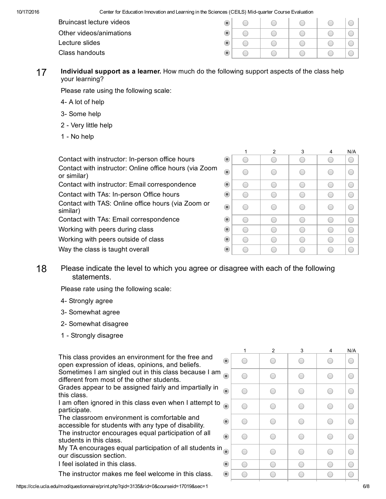10/17/2016 Center for Education Innovation and Learning in the Sciences (CEILS) Midquarter Course Evaluation

| Bruincast lecture videos | $\bullet$                   |  |  |  |
|--------------------------|-----------------------------|--|--|--|
| Other videos/animations  | $\bullet$                   |  |  |  |
| Lecture slides           | $\circ$                     |  |  |  |
| Class handouts           | $\textcolor{blue}{\bullet}$ |  |  |  |

17 Individual support as a learner. How much do the following support aspects of the class help your learning?

Please rate using the following scale:

- 4- A lot of help
- 3- Some help
- 2 Very little help
- 1 No help

Contact with instructor: In-person office hours Contact with instructor: Online office hours (via Zoom or similar) Contact with instructor: Email correspondence Contact with TAs: In-person Office hours Contact with TAS: Online office hours (via Zoom or similar) Contact with TAs: Email correspondence Working with peers during class Working with peers outside of class

|                  | 1 | $\overline{2}$ | 3 | 4 | N/A          |
|------------------|---|----------------|---|---|--------------|
| $\circledbullet$ |   |                |   |   |              |
| $\odot$          | ٠ |                |   |   | <sub>(</sub> |
| $\bullet$        |   |                |   |   |              |
| $\odot$          |   |                |   |   |              |
| $\odot$          | ٦ |                |   |   | C            |
| $\odot$          |   |                |   |   |              |
| $\odot$          |   |                |   |   |              |
| $\bullet$        |   |                |   |   |              |
| $\odot$          |   |                |   |   |              |

18 Please indicate the level to which you agree or disagree with each of the following statements.

Please rate using the following scale:

Way the class is taught overall

- 4- Strongly agree
- 3- Somewhat agree
- 2 Somewhat disagree
- 1 Strongly disagree

This class provides an environment for the free and open expression of ideas, opinions, and beliefs. Sometimes I am singled out in this class because I am

different from most of the other students.

Grades appear to be assigned fairly and impartially in this class.

I am often ignored in this class even when I attempt to participate.

The classroom environment is comfortable and accessible for students with any type of disability.

The instructor encourages equal participation of all students in this class.

My TA encourages equal participation of all students in our discussion section.

I feel isolated in this class.

The instructor makes me feel welcome in this class.

|                         | 1  | $\boldsymbol{2}$ | 3              | 4              | N/A        |
|-------------------------|----|------------------|----------------|----------------|------------|
| $\odot$                 | r. | 0                | r.             | ÷              | $\bigcirc$ |
| $\odot$                 | r. | <sub>(</sub>     | ( –            | С,             | C          |
| $\odot$                 | m. | <sub>(</sub>     | $\overline{a}$ | <sub>(</sub>   | $\bigcirc$ |
| $\odot$                 | ٠  | <sub>(</sub>     | <sub>(</sub>   | <sub>(</sub> – | C.         |
| $\odot$                 | ۰  | ×                | o              | ( –            | C          |
| $\odot$                 | ×. | ×                | ×              | <sub>(</sub>   | C          |
| $\mathbf{1}_{\text{O}}$ | o  | 0                | C              | C              | C          |
| $\odot$                 |    |                  |                |                | C          |
| $\odot$                 | ٠  | ۰                |                | ٦              | C          |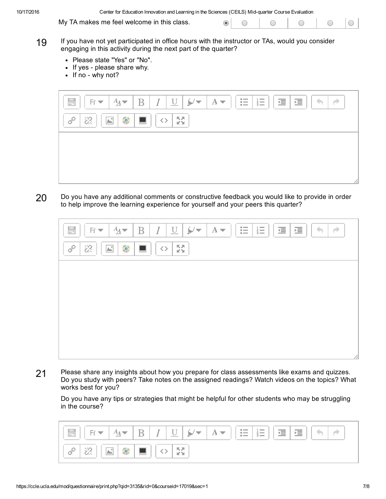10/17/2016 Center for Education Innovation and Learning in the Sciences (CEILS) Midquarter Course Evaluation

My TA makes me feel welcome in this class.

 $\odot$ 

- 19 If you have not yet participated in office hours with the instructor or TAs, would you consider engaging in this activity during the next part of the quarter?
	- Please state "Yes" or "No".
	- If yes please share why.
	- $\cdot$  If no why not?



20 Do you have any additional comments or constructive feedback you would like to provide in order to help improve the learning experience for yourself and your peers this quarter?

| $\bullet$<br>$\blacktriangleright$<br>$1 -$<br>$\begin{array}{ c c }\hline \textbf{0.000}\\ \hline \textbf{0.000}\\ \hline \textbf{0.000}\\ \hline \textbf{0.000}\\ \hline \textbf{0.000}\\ \hline \textbf{0.000}\\ \hline \textbf{0.000}\\ \hline \textbf{0.000}\\ \hline \textbf{0.000}\\ \hline \textbf{0.000}\\ \hline \textbf{0.000}\\ \hline \textbf{0.000}\\ \hline \textbf{0.000}\\ \hline \textbf{0.000}\\ \hline \textbf{0.000}\\ \hline \textbf{0.000}\\ \h$<br>彊<br>這<br>$\cal I$<br>$\underline{\mathrm{U}}$<br>$A \blacktriangleright$<br>$A_{\underline{A}}$<br>$\rm{B}$<br>$Ff \blacktriangledown$<br>主<br>$\bullet$<br>$\bullet$ | $\overrightarrow{ }$<br>÷ |
|---------------------------------------------------------------------------------------------------------------------------------------------------------------------------------------------------------------------------------------------------------------------------------------------------------------------------------------------------------------------------------------------------------------------------------------------------------------------------------------------------------------------------------------------------------------------------------------------------------------------------------------------------|---------------------------|
| $\frac{K}{2}$<br>繠<br>$\mathscr{E}$<br>恣<br>$\boxed{\triangle^*}$<br>$\langle \rangle$<br><b>The Contract of the Contract of the Contract of the Contract of the Contract of the Contract of the Contract of the Contract of the Contract of the Contract of the Contract of the Contract of the Contract of the Contract </b>                                                                                                                                                                                                                                                                                                                    |                           |
|                                                                                                                                                                                                                                                                                                                                                                                                                                                                                                                                                                                                                                                   |                           |
|                                                                                                                                                                                                                                                                                                                                                                                                                                                                                                                                                                                                                                                   |                           |
|                                                                                                                                                                                                                                                                                                                                                                                                                                                                                                                                                                                                                                                   |                           |
|                                                                                                                                                                                                                                                                                                                                                                                                                                                                                                                                                                                                                                                   |                           |
|                                                                                                                                                                                                                                                                                                                                                                                                                                                                                                                                                                                                                                                   | 11                        |

21 Please share any insights about how you prepare for class assessments like exams and quizzes. Do you study with peers? Take notes on the assigned readings? Watch videos on the topics? What works best for you?

Do you have any tips or strategies that might be helpful for other students who may be struggling in the course?

| $\begin{array}{ c } \hline \text{0 0 0 0}\\ \hline \text{0 0 0 0}\\ \hline \text{0 0 0 0}\\ \hline \text{0 0 0 0}\\ \hline \end{array}$ | $Ff =$             | $\overline{\phantom{0}}$<br>$\angle A$<br>∸ | Terminal State<br>ж. | <b>Section</b><br>$\overline{\phantom{0}}$<br>×<br>$\overline{\phantom{a}}$ | $A =$ | $\frac{1}{2}$<br>$\frac{1}{2}$ $\equiv$<br>$=$ | 福<br>福 |  |
|-----------------------------------------------------------------------------------------------------------------------------------------|--------------------|---------------------------------------------|----------------------|-----------------------------------------------------------------------------|-------|------------------------------------------------|--------|--|
| $\mathscr{E}$                                                                                                                           | <b>Carlos</b><br>◡ |                                             |                      | <b>KA</b>                                                                   |       |                                                |        |  |